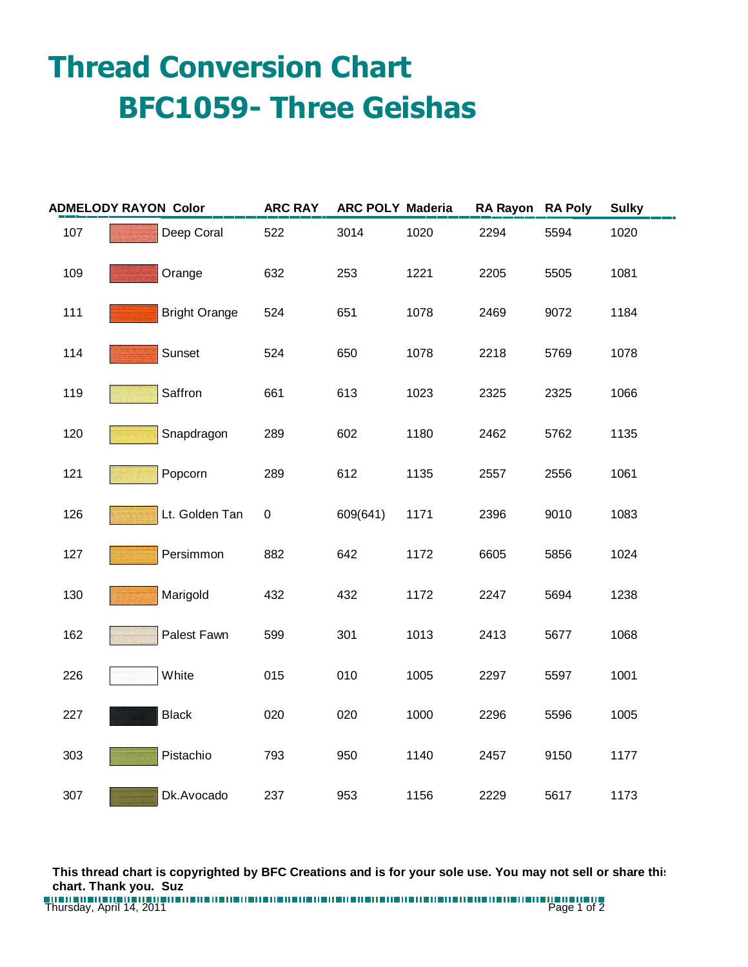## **Thread Conversion Chart BFC1059- Three Geishas**

| <b>ADMELODY RAYON Color</b> |                      | <b>ARC RAY</b> | <b>ARC POLY Maderia</b> |      | <b>RA Rayon</b> | <b>RA Poly</b> | <b>Sulky</b> |
|-----------------------------|----------------------|----------------|-------------------------|------|-----------------|----------------|--------------|
| 107                         | Deep Coral           | 522            | 3014                    | 1020 | 2294            | 5594           | 1020         |
| 109                         | Orange               | 632            | 253                     | 1221 | 2205            | 5505           | 1081         |
| 111                         | <b>Bright Orange</b> | 524            | 651                     | 1078 | 2469            | 9072           | 1184         |
| 114                         | Sunset               | 524            | 650                     | 1078 | 2218            | 5769           | 1078         |
| 119                         | Saffron              | 661            | 613                     | 1023 | 2325            | 2325           | 1066         |
| 120                         | Snapdragon           | 289            | 602                     | 1180 | 2462            | 5762           | 1135         |
| 121                         | Popcorn              | 289            | 612                     | 1135 | 2557            | 2556           | 1061         |
| 126                         | Lt. Golden Tan       | $\pmb{0}$      | 609(641)                | 1171 | 2396            | 9010           | 1083         |
| 127                         | Persimmon            | 882            | 642                     | 1172 | 6605            | 5856           | 1024         |
| 130                         | Marigold             | 432            | 432                     | 1172 | 2247            | 5694           | 1238         |
| 162                         | Palest Fawn          | 599            | 301                     | 1013 | 2413            | 5677           | 1068         |
| 226                         | White                | 015            | 010                     | 1005 | 2297            | 5597           | 1001         |
| 227                         | <b>Black</b>         | 020            | 020                     | 1000 | 2296            | 5596           | 1005         |
| 303                         | Pistachio            | 793            | 950                     | 1140 | 2457            | 9150           | 1177         |
| 307                         | Dk.Avocado           | 237            | 953                     | 1156 | 2229            | 5617           | 1173         |

**This thread chart is copyrighted by BFC Creations and is for your sole use. You may not sell or share this chart. Thank you. Suz**